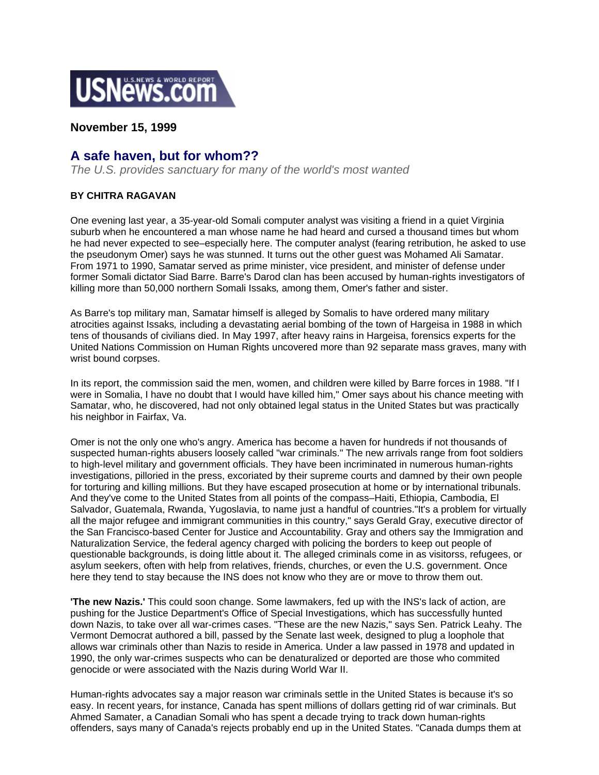

**November 15, 1999** 

## **A safe haven, but for whom??**

*The U.S. provides sanctuary for many of the world's most wanted*

## **BY CHITRA RAGAVAN**

One evening last year, a 35-year-old Somali computer analyst was visiting a friend in a quiet Virginia suburb when he encountered a man whose name he had heard and cursed a thousand times but whom he had never expected to see–especially here. The computer analyst (fearing retribution, he asked to use the pseudonym Omer) says he was stunned. It turns out the other guest was Mohamed Ali Samatar. From 1971 to 1990, Samatar served as prime minister, vice president, and minister of defense under former Somali dictator Siad Barre. Barre's Darod clan has been accused by human-rights investigators of killing more than 50,000 northern Somali Issaks*,* among them, Omer's father and sister.

As Barre's top military man, Samatar himself is alleged by Somalis to have ordered many military atrocities against Issaks*,* including a devastating aerial bombing of the town of Hargeisa in 1988 in which tens of thousands of civilians died. In May 1997, after heavy rains in Hargeisa, forensics experts for the United Nations Commission on Human Rights uncovered more than 92 separate mass graves, many with wrist bound corpses.

In its report, the commission said the men, women, and children were killed by Barre forces in 1988. "If I were in Somalia, I have no doubt that I would have killed him," Omer says about his chance meeting with Samatar, who, he discovered, had not only obtained legal status in the United States but was practically his neighbor in Fairfax, Va.

Omer is not the only one who's angry. America has become a haven for hundreds if not thousands of suspected human-rights abusers loosely called "war criminals." The new arrivals range from foot soldiers to high-level military and government officials. They have been incriminated in numerous human-rights investigations, pilloried in the press, excoriated by their supreme courts and damned by their own people for torturing and killing millions. But they have escaped prosecution at home or by international tribunals. And they've come to the United States from all points of the compass–Haiti, Ethiopia, Cambodia, El Salvador, Guatemala, Rwanda, Yugoslavia, to name just a handful of countries."It's a problem for virtually all the major refugee and immigrant communities in this country," says Gerald Gray, executive director of the San Francisco-based Center for Justice and Accountability. Gray and others say the Immigration and Naturalization Service, the federal agency charged with policing the borders to keep out people of questionable backgrounds, is doing little about it. The alleged criminals come in as visitorss, refugees, or asylum seekers, often with help from relatives, friends, churches, or even the U.S. government. Once here they tend to stay because the INS does not know who they are or move to throw them out.

**'The new Nazis.'** This could soon change. Some lawmakers, fed up with the INS's lack of action, are pushing for the Justice Department's Office of Special Investigations, which has successfully hunted down Nazis, to take over all war-crimes cases. "These are the new Nazis," says Sen. Patrick Leahy. The Vermont Democrat authored a bill, passed by the Senate last week, designed to plug a loophole that allows war criminals other than Nazis to reside in America. Under a law passed in 1978 and updated in 1990, the only war-crimes suspects who can be denaturalized or deported are those who commited genocide or were associated with the Nazis during World War II.

Human-rights advocates say a major reason war criminals settle in the United States is because it's so easy. In recent years, for instance, Canada has spent millions of dollars getting rid of war criminals. But Ahmed Samater, a Canadian Somali who has spent a decade trying to track down human-rights offenders, says many of Canada's rejects probably end up in the United States. "Canada dumps them at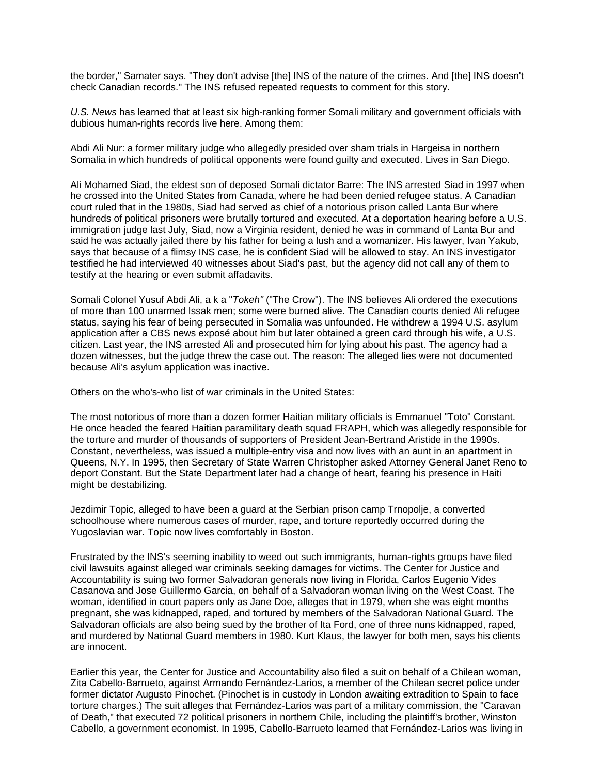the border," Samater says. "They don't advise [the] INS of the nature of the crimes. And [the] INS doesn't check Canadian records." The INS refused repeated requests to comment for this story.

*U.S. News* has learned that at least six high-ranking former Somali military and government officials with dubious human-rights records live here. Among them:

Abdi Ali Nur: a former military judge who allegedly presided over sham trials in Hargeisa in northern Somalia in which hundreds of political opponents were found guilty and executed. Lives in San Diego.

Ali Mohamed Siad, the eldest son of deposed Somali dictator Barre: The INS arrested Siad in 1997 when he crossed into the United States from Canada, where he had been denied refugee status. A Canadian court ruled that in the 1980s, Siad had served as chief of a notorious prison called Lanta Bur where hundreds of political prisoners were brutally tortured and executed. At a deportation hearing before a U.S. immigration judge last July, Siad, now a Virginia resident, denied he was in command of Lanta Bur and said he was actually jailed there by his father for being a lush and a womanizer. His lawyer, Ivan Yakub, says that because of a flimsy INS case, he is confident Siad will be allowed to stay. An INS investigator testified he had interviewed 40 witnesses about Siad's past, but the agency did not call any of them to testify at the hearing or even submit affadavits.

Somali Colonel Yusuf Abdi Ali, a k a "*Tokeh"* ("The Crow"). The INS believes Ali ordered the executions of more than 100 unarmed Issak men; some were burned alive. The Canadian courts denied Ali refugee status, saying his fear of being persecuted in Somalia was unfounded. He withdrew a 1994 U.S. asylum application after a CBS news exposé about him but later obtained a green card through his wife, a U.S. citizen. Last year, the INS arrested Ali and prosecuted him for lying about his past. The agency had a dozen witnesses, but the judge threw the case out. The reason: The alleged lies were not documented because Ali's asylum application was inactive.

Others on the who's-who list of war criminals in the United States:

The most notorious of more than a dozen former Haitian military officials is Emmanuel "Toto" Constant. He once headed the feared Haitian paramilitary death squad FRAPH, which was allegedly responsible for the torture and murder of thousands of supporters of President Jean-Bertrand Aristide in the 1990s. Constant, nevertheless, was issued a multiple-entry visa and now lives with an aunt in an apartment in Queens, N.Y. In 1995, then Secretary of State Warren Christopher asked Attorney General Janet Reno to deport Constant. But the State Department later had a change of heart, fearing his presence in Haiti might be destabilizing.

Jezdimir Topic, alleged to have been a guard at the Serbian prison camp Trnopolje, a converted schoolhouse where numerous cases of murder, rape, and torture reportedly occurred during the Yugoslavian war. Topic now lives comfortably in Boston.

Frustrated by the INS's seeming inability to weed out such immigrants, human-rights groups have filed civil lawsuits against alleged war criminals seeking damages for victims. The Center for Justice and Accountability is suing two former Salvadoran generals now living in Florida, Carlos Eugenio Vides Casanova and Jose Guillermo Garcia, on behalf of a Salvadoran woman living on the West Coast. The woman, identified in court papers only as Jane Doe, alleges that in 1979, when she was eight months pregnant, she was kidnapped, raped, and tortured by members of the Salvadoran National Guard. The Salvadoran officials are also being sued by the brother of Ita Ford, one of three nuns kidnapped, raped, and murdered by National Guard members in 1980. Kurt Klaus, the lawyer for both men, says his clients are innocent.

Earlier this year, the Center for Justice and Accountability also filed a suit on behalf of a Chilean woman, Zita Cabello-Barrueto, against Armando Fernández-Larios, a member of the Chilean secret police under former dictator Augusto Pinochet. (Pinochet is in custody in London awaiting extradition to Spain to face torture charges.) The suit alleges that Fernández-Larios was part of a military commission, the "Caravan of Death," that executed 72 political prisoners in northern Chile, including the plaintiff's brother, Winston Cabello, a government economist. In 1995, Cabello-Barrueto learned that Fernández-Larios was living in